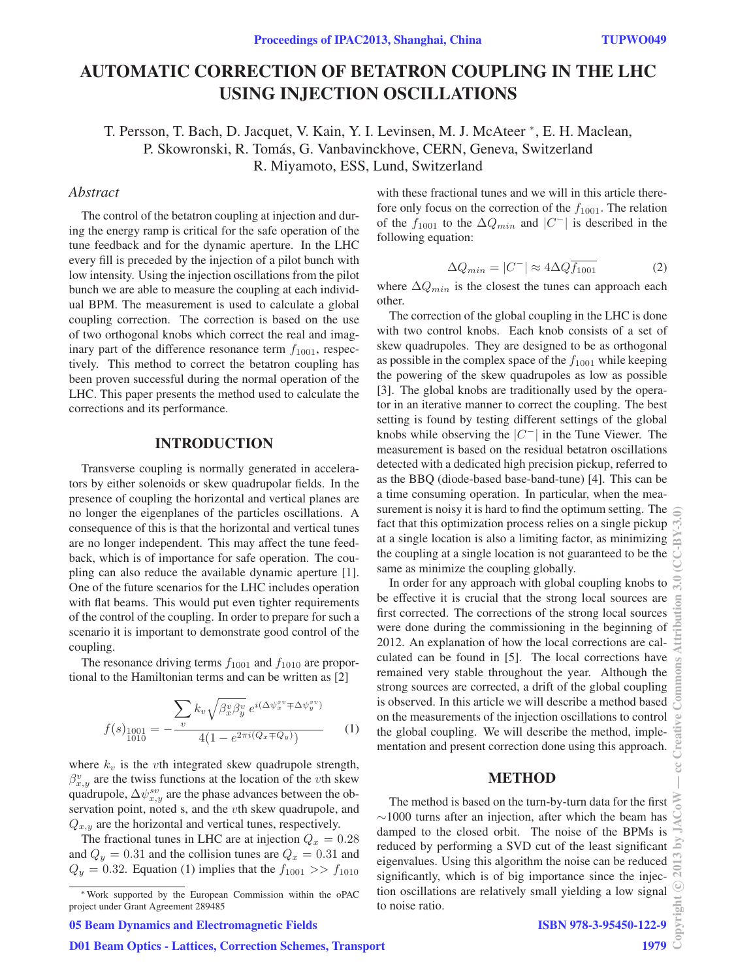# AUTOMATIC CORRECTION OF BETATRON COUPLING IN THE LHC USING INJECTION OSCILLATIONS

T. Persson, T. Bach, D. Jacquet, V. Kain, Y. I. Levinsen, M. J. McAteer <sup>∗</sup>, E. H. Maclean, P. Skowronski, R. Tomás, G. Vanbavinckhove, CERN, Geneva, Switzerland R. Miyamoto, ESS, Lund, Switzerland

### *Abstract*

The control of the betatron coupling at injection and during the energy ramp is critical for the safe operation of the tune feedback and for the dynamic aperture. In the LHC every fill is preceded by the injection of a pilot bunch with low intensity. Using the injection oscillations from the pilot bunch we are able to measure the coupling at each individual BPM. The measurement is used to calculate a global coupling correction. The correction is based on the use of two orthogonal knobs which correct the real and imaginary part of the difference resonance term  $f_{1001}$ , respectively. This method to correct the betatron coupling has been proven successful during the normal operation of the LHC. This paper presents the method used to calculate the corrections and its performance.

#### INTRODUCTION

Transverse coupling is normally generated in accelerators by either solenoids or skew quadrupolar fields. In the presence of coupling the horizontal and vertical planes are no longer the eigenplanes of the particles oscillations. A consequence of this is that the horizontal and vertical tunes are no longer independent. This may affect the tune feedback, which is of importance for safe operation. The coupling can also reduce the available dynamic aperture [1]. One of the future scenarios for the LHC includes operation with flat beams. This would put even tighter requirements of the control of the coupling. In order to prepare for such a scenario it is important to demonstrate good control of the coupling.

The resonance driving terms  $f_{1001}$  and  $f_{1010}$  are proportional to the Hamiltonian terms and can be written as [2]

$$
f(s)_{1001} = -\frac{\sum_{v} k_{v} \sqrt{\beta_{x}^{v} \beta_{y}^{v}} e^{i(\Delta \psi_{x}^{sv} \mp \Delta \psi_{y}^{sv})}}{4(1 - e^{2\pi i (Q_{x} \mp Q_{y}))}}
$$
(1)

where  $k_v$  is the vth integrated skew quadrupole strength,  $\beta_{x,y}^v$  are the twiss functions at the location of the vth skew quadrupole,  $\Delta \psi_{x,y}^{sv}$  are the phase advances between the observation point, noted s, and the *v*th skew quadrupole, and  $Q_{x,y}$  are the horizontal and vertical tunes, respectively.

The fractional tunes in LHC are at injection  $Q_x = 0.28$ and  $Q_y = 0.31$  and the collision tunes are  $Q_x = 0.31$  and  $Q_y = 0.32$ . Equation (1) implies that the  $f_{1001} >> f_{1010}$ 

with these fractional tunes and we will in this article therefore only focus on the correction of the  $f_{1001}$ . The relation of the  $f_{1001}$  to the  $\Delta Q_{min}$  and  $|C^{-}|$  is described in the following equation:

$$
\Delta Q_{min} = |C^-| \approx 4\Delta Q \overline{f_{1001}}
$$
 (2)

where  $\Delta Q_{min}$  is the closest the tunes can approach each other.

The correction of the global coupling in the LHC is done with two control knobs. Each knob consists of a set of skew quadrupoles. They are designed to be as orthogonal as possible in the complex space of the  $f_{1001}$  while keeping the powering of the skew quadrupoles as low as possible [3]. The global knobs are traditionally used by the operator in an iterative manner to correct the coupling. The best setting is found by testing different settings of the global knobs while observing the  $|C^{-}|$  in the Tune Viewer. The measurement is based on the residual betatron oscillations detected with a dedicated high precision pickup, referred to as the BBQ (diode-based base-band-tune) [4]. This can be a time consuming operation. In particular, when the measurement is noisy it is hard to find the optimum setting. The fact that this optimization process relies on a single pickup at a single location is also a limiting factor, as minimizing the coupling at a single location is not guaranteed to be the same as minimize the coupling globally.

In order for any approach with global coupling knobs to be effective it is crucial that the strong local sources are first corrected. The corrections of the strong local sources were done during the commissioning in the beginning of 2012. An explanation of how the local corrections are calculated can be found in [5]. The local corrections have remained very stable throughout the year. Although the strong sources are corrected, a drift of the global coupling is observed. In this article we will describe a method based on the measurements of the injection oscillations to control the global coupling. We will describe the method, implementation and present correction done using this approach.

#### METHOD

The method is based on the turn-by-turn data for the first  $\sim$ 1000 turns after an injection, after which the beam has damped to the closed orbit. The noise of the BPMs is reduced by performing a SVD cut of the least significant eigenvalues. Using this algorithm the noise can be reduced significantly, which is of big importance since the injection oscillations are relatively small yielding a low signal to noise ratio.

#### 05 Beam Dynamics and Electromagnetic Fields

<sup>∗</sup>Work supported by the European Commission within the oPAC project under Grant Agreement 289485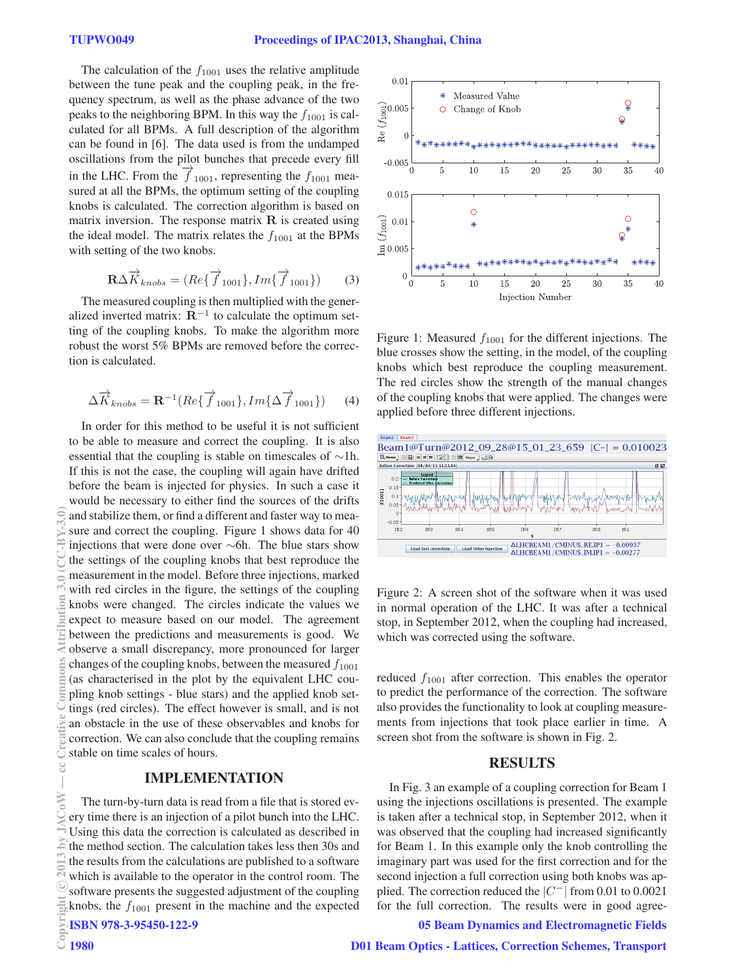The calculation of the  $f_{1001}$  uses the relative amplitude between the tune peak and the coupling peak, in the frequency spectrum, as well as the phase advance of the two peaks to the neighboring BPM. In this way the  $f_{1001}$  is calculated for all BPMs. A full description of the algorithm can be found in [6]. The data used is from the undamped oscillations from the pilot bunches that precede every fill in the LHC. From the  $\overrightarrow{f}_{1001}$ , representing the  $f_{1001}$  measured at all the BPMs, the optimum setting of the coupling knobs is calculated. The correction algorithm is based on matrix inversion. The response matrix **R** is created using the ideal model. The matrix relates the  $f_{1001}$  at the BPMs with setting of the two knobs.

$$
\mathbf{R}\Delta\overrightarrow{K}_{knobs} = (Re\{\overrightarrow{f}_{1001}\}, Im\{\overrightarrow{f}_{1001}\})
$$
 (3)

The measured coupling is then multiplied with the generalized inverted matrix:  $\mathbf{R}^{-1}$  to calculate the optimum setting of the coupling knobs. To make the algorithm more robust the worst 5% BPMs are removed before the correction is calculated.

$$
\Delta \overrightarrow{K}_{knobs} = \mathbf{R}^{-1} (Re\{\overrightarrow{f}_{1001}\}, Im\{\Delta \overrightarrow{f}_{1001}\})
$$
 (4)

In order for this method to be useful it is not sufficient to be able to measure and correct the coupling. It is also essential that the coupling is stable on timescales of ∼1h. If this is not the case, the coupling will again have drifted before the beam is injected for physics. In such a case it would be necessary to either find the sources of the drifts and stabilize them, or find a different and faster way to measure and correct the coupling. Figure 1 shows data for 40 injections that were done over ∼6h. The blue stars show the settings of the coupling knobs that best reproduce the measurement in the model. Before three injections, marked with red circles in the figure, the settings of the coupling knobs were changed. The circles indicate the values we expect to measure based on our model. The agreement between the predictions and measurements is good. We observe a small discrepancy, more pronounced for larger changes of the coupling knobs, between the measured  $f_{1001}$ (as characterised in the plot by the equivalent LHC coupling knob settings - blue stars) and the applied knob settings (red circles). The effect however is small, and is not an obstacle in the use of these observables and knobs for correction. We can also conclude that the coupling remains stable on time scales of hours. (0,6^M\_0)()) 0,6^2010mmq;lumq;lumq;lumq commons Attribution 3.0 (commons Attribution 3.0 cm U th w w

#### IMPLEMENTATION

The turn-by-turn data is read from a file that is stored every time there is an injection of a pilot bunch into the LHC. Using this data the correction is calculated as described in the method section. The calculation takes less then 30s and the results from the calculations are published to a software which is available to the operator in the control room. The software presents the suggested adjustment of the coupling E<sub>M</sub>knobs, the  $f_{1001}$  present in the machine and the expected<br>  $\frac{1}{2}$  **ISBN 978-3-95450-122-9**<br>  $\frac{1}{2}$  **1980** D ISBN 978-3-95450-122-9 c○



Figure 1: Measured  $f_{1001}$  for the different injections. The blue crosses show the setting, in the model, of the coupling knobs which best reproduce the coupling measurement. The red circles show the strength of the manual changes of the coupling knobs that were applied. The changes were applied before three different injections.



Figure 2: A screen shot of the software when it was used in normal operation of the LHC. It was after a technical stop, in September 2012, when the coupling had increased, which was corrected using the software.

reduced  $f_{1001}$  after correction. This enables the operator to predict the performance of the correction. The software also provides the functionality to look at coupling measurements from injections that took place earlier in time. A screen shot from the software is shown in Fig. 2.

#### RESULTS

In Fig. 3 an example of a coupling correction for Beam 1 using the injections oscillations is presented. The example is taken after a technical stop, in September 2012, when it was observed that the coupling had increased significantly for Beam 1. In this example only the knob controlling the imaginary part was used for the first correction and for the second injection a full correction using both knobs was applied. The correction reduced the  $|C^{-}|$  from 0.01 to 0.0021 for the full correction. The results were in good agree-

#### 05 Beam Dynamics and Electromagnetic Fields

e o.